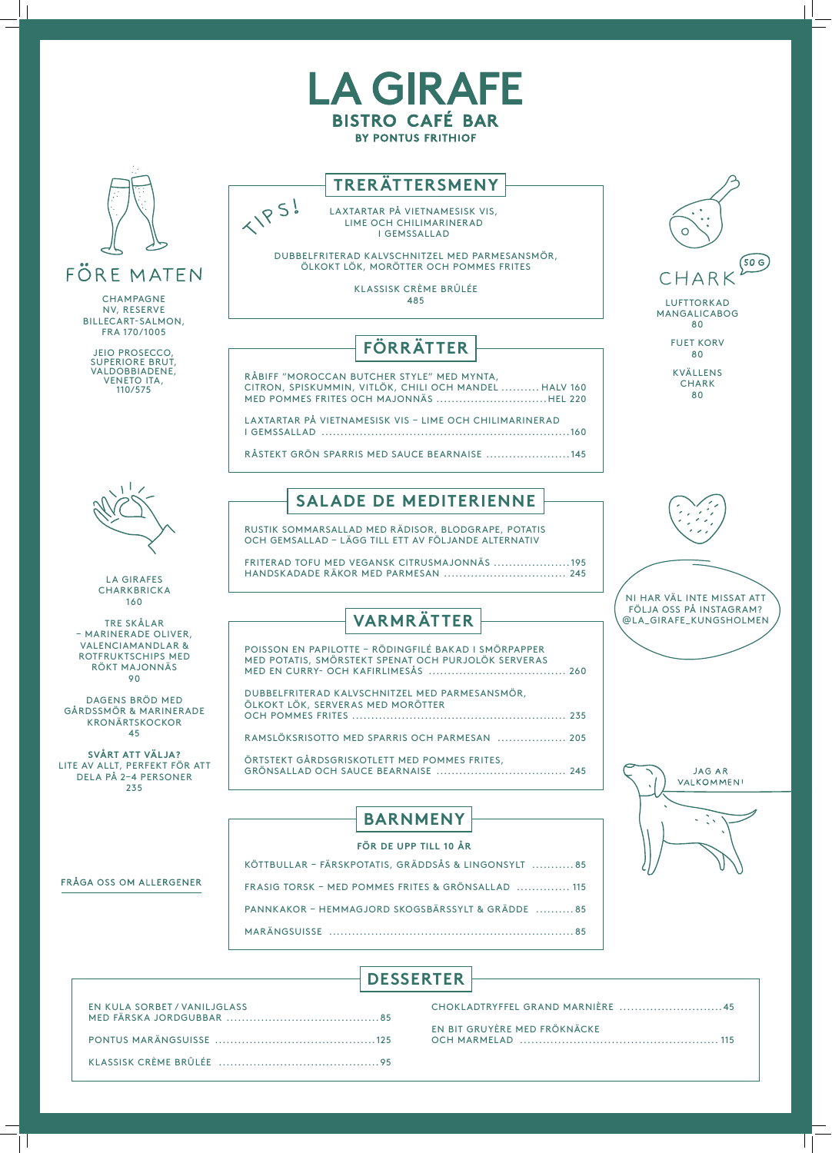| <b>DESSERTER</b> |  |
|------------------|--|
|                  |  |



| EN KULA SORBET / VANILJGLASS |  |
|------------------------------|--|
|                              |  |
|                              |  |

| CHOKLADTRYFFEL GRAND MARNIÈRE 45 |  |
|----------------------------------|--|
| EN BIT GRUYÈRE MED FRÖKNÄCKE     |  |

#### FRÅGA OSS OM ALLERGENER

KÖTTBULLAR – FÄRSKPOTATIS, GRÄDDSÅS & LINGONSYLT ........... 85

FRASIG TORSK – MED POMMES FRITES & GRÖNSALLAD .............. 115

PANNKAKOR – HEMMAGJORD SKOGSBÄRSSYLT & GRÄDDE .......... 85

MARÄNGSUISSE ................................................................ 85